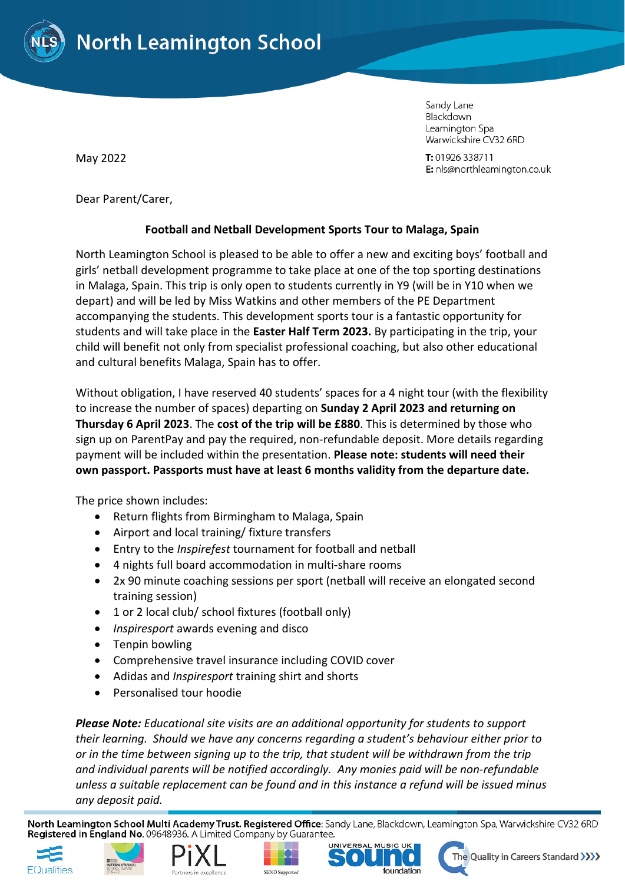

Blackdown Leamington Spa Warwickshire CV32 6RD

Sandy Lane

T: 01926 338711 E: nls@northleamington.co.uk

May 2022

Dear Parent/Carer,

## **Football and Netball Development Sports Tour to Malaga, Spain**

North Leamington School is pleased to be able to offer a new and exciting boys' football and girls' netball development programme to take place at one of the top sporting destinations in Malaga, Spain. This trip is only open to students currently in Y9 (will be in Y10 when we depart) and will be led by Miss Watkins and other members of the PE Department accompanying the students. This development sports tour is a fantastic opportunity for students and will take place in the **Easter Half Term 2023.** By participating in the trip, your child will benefit not only from specialist professional coaching, but also other educational and cultural benefits Malaga, Spain has to offer.

Without obligation, I have reserved 40 students' spaces for a 4 night tour (with the flexibility to increase the number of spaces) departing on **Sunday 2 April 2023 and returning on Thursday 6 April 2023**. The **cost of the trip will be £880**. This is determined by those who sign up on ParentPay and pay the required, non-refundable deposit. More details regarding payment will be included within the presentation. **Please note: students will need their own passport. Passports must have at least 6 months validity from the departure date.**

The price shown includes:

- Return flights from Birmingham to Malaga, Spain
- Airport and local training/ fixture transfers
- Entry to the *Inspirefest* tournament for football and netball
- 4 nights full board accommodation in multi-share rooms
- 2x 90 minute coaching sessions per sport (netball will receive an elongated second training session)
- 1 or 2 local club/ school fixtures (football only)
- *Inspiresport* awards evening and disco
- Tenpin bowling
- Comprehensive travel insurance including COVID cover
- Adidas and *Inspiresport* training shirt and shorts
- Personalised tour hoodie

*Please Note: Educational site visits are an additional opportunity for students to support their learning. Should we have any concerns regarding a student's behaviour either prior to or in the time between signing up to the trip, that student will be withdrawn from the trip and individual parents will be notified accordingly. Any monies paid will be non-refundable unless a suitable replacement can be found and in this instance a refund will be issued minus any deposit paid.*

North Leamington School Multi Academy Trust. Registered Office: Sandy Lane, Blackdown, Leamington Spa, Warwickshire CV32 6RD Registered in England No. 09648936. A Limited Company by Guarantee.